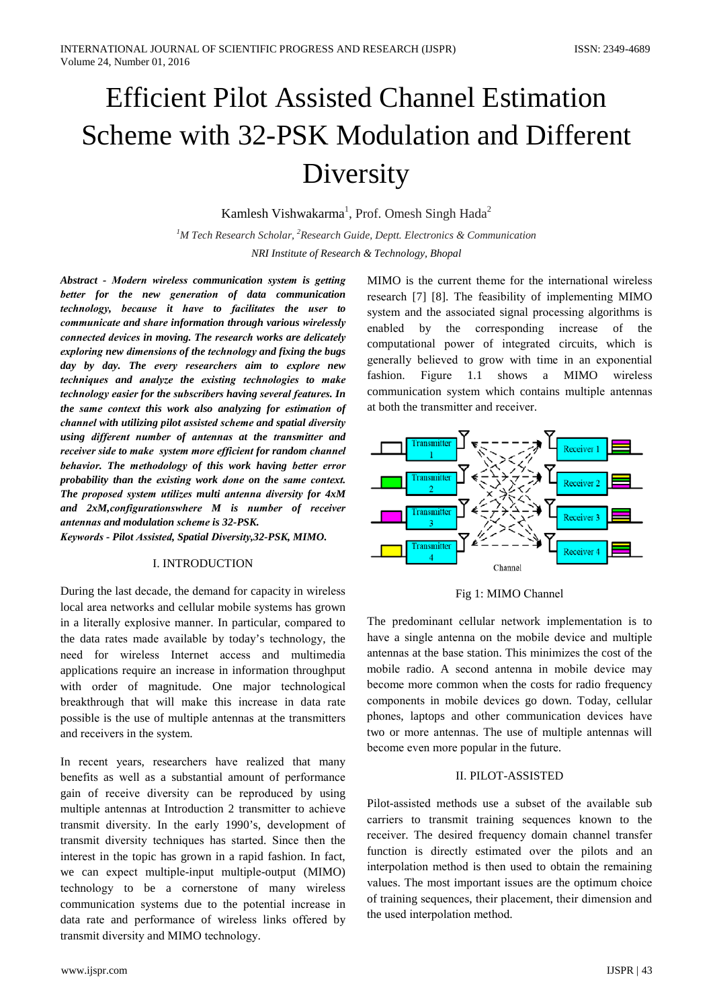# **Efficient Pilot Assisted Channel Estimation** Scheme with 32-PSK Modulation and Different Diversity

Kamlesh Vishwakarma<sup>1</sup>, Prof. Omesh Singh Hada<sup>2</sup>

<sup>1</sup>M Tech Research Scholar, <sup>2</sup>Research Guide, Deptt. Electronics & Communication NRI Institute of Research & Technology, Bhopal

Abstract - Modern wireless communication system is getting better for the new generation of data communication technology, because it have to facilitates the user to communicate and share information through various wirelessly connected devices in moving. The research works are delicately exploring new dimensions of the technology and fixing the bugs day by day. The every researchers aim to explore new techniques and analyze the existing technologies to make technology easier for the subscribers having several features. In the same context this work also analyzing for estimation of channel with utilizing pilot assisted scheme and spatial diversity using different number of antennas at the transmitter and receiver side to make system more efficient for random channel behavior. The methodology of this work having better error probability than the existing work done on the same context. The proposed system utilizes multi antenna diversity for 4xM and 2xM, configurationswhere M is number of receiver antennas and modulation scheme is 32-PSK. Keywords - Pilot Assisted, Spatial Diversity, 32-PSK, MIMO.

## **I. INTRODUCTION**

During the last decade, the demand for capacity in wireless local area networks and cellular mobile systems has grown in a literally explosive manner. In particular, compared to the data rates made available by today's technology, the need for wireless Internet access and multimedia applications require an increase in information throughput with order of magnitude. One major technological breakthrough that will make this increase in data rate possible is the use of multiple antennas at the transmitters and receivers in the system.

In recent years, researchers have realized that many benefits as well as a substantial amount of performance gain of receive diversity can be reproduced by using multiple antennas at Introduction 2 transmitter to achieve transmit diversity. In the early 1990's, development of transmit diversity techniques has started. Since then the interest in the topic has grown in a rapid fashion. In fact, we can expect multiple-input multiple-output (MIMO) technology to be a cornerstone of many wireless communication systems due to the potential increase in data rate and performance of wireless links offered by transmit diversity and MIMO technology.

MIMO is the current theme for the international wireless research [7] [8]. The feasibility of implementing MIMO system and the associated signal processing algorithms is the corresponding enabled by increase of the computational power of integrated circuits, which is generally believed to grow with time in an exponential fashion. Figure 1.1 shows a **MIMO** wireless communication system which contains multiple antennas at both the transmitter and receiver.



Fig 1: MIMO Channel

The predominant cellular network implementation is to have a single antenna on the mobile device and multiple antennas at the base station. This minimizes the cost of the mobile radio. A second antenna in mobile device may become more common when the costs for radio frequency components in mobile devices go down. Today, cellular phones, laptops and other communication devices have two or more antennas. The use of multiple antennas will become even more popular in the future.

## **II. PILOT-ASSISTED**

Pilot-assisted methods use a subset of the available sub carriers to transmit training sequences known to the receiver. The desired frequency domain channel transfer function is directly estimated over the pilots and an interpolation method is then used to obtain the remaining values. The most important issues are the optimum choice of training sequences, their placement, their dimension and the used interpolation method.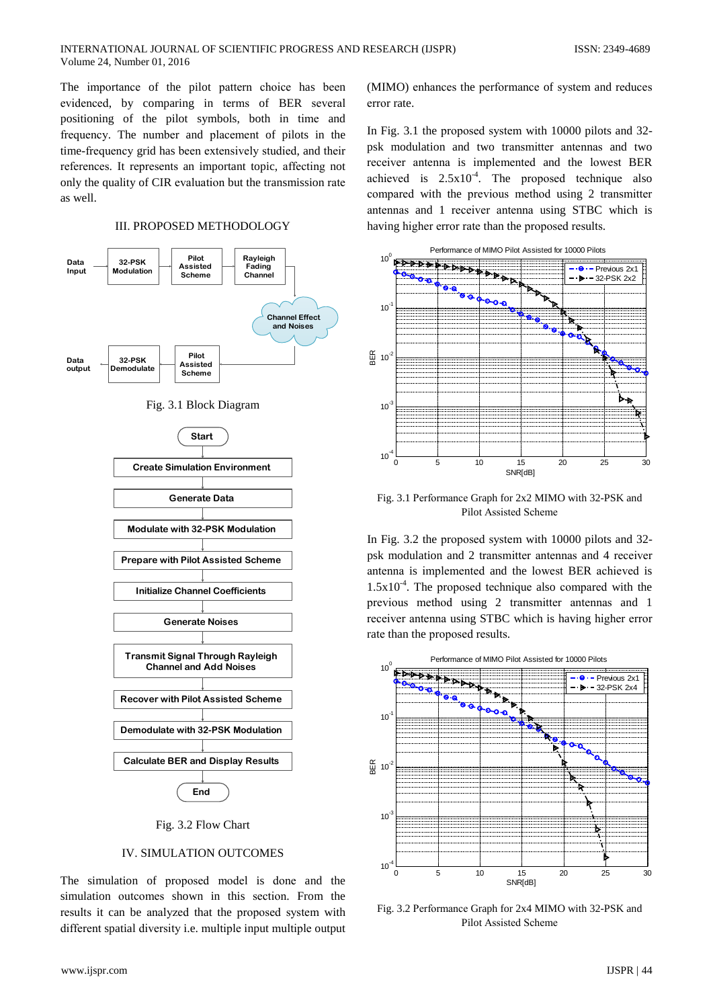The importance of the pilot pattern choice has been evidenced, by comparing in terms of BER several positioning of the pilot symbols, both in time and frequency. The number and placement of pilots in the time-frequency grid has been extensively studied, and their references. It represents an important topic, affecting not only the quality of CIR evaluation but the transmission rate as well.

#### **III. PROPOSED METHODOLOGY**



Fig. 3.2 Flow Chart

## **IV. SIMULATION OUTCOMES**

The simulation of proposed model is done and the simulation outcomes shown in this section. From the results it can be analyzed that the proposed system with different spatial diversity i.e. multiple input multiple output

(MIMO) enhances the performance of system and reduces error rate.

In Fig. 3.1 the proposed system with 10000 pilots and 32psk modulation and two transmitter antennas and two receiver antenna is implemented and the lowest BER achieved is  $2.5x10^{-4}$ . The proposed technique also compared with the previous method using 2 transmitter antennas and 1 receiver antenna using STBC which is having higher error rate than the proposed results.



Fig. 3.1 Performance Graph for 2x2 MIMO with 32-PSK and Pilot Assisted Scheme

In Fig. 3.2 the proposed system with 10000 pilots and 32psk modulation and 2 transmitter antennas and 4 receiver antenna is implemented and the lowest BER achieved is  $1.5x10^{-4}$ . The proposed technique also compared with the previous method using 2 transmitter antennas and 1 receiver antenna using STBC which is having higher error rate than the proposed results.



Fig. 3.2 Performance Graph for 2x4 MIMO with 32-PSK and Pilot Assisted Scheme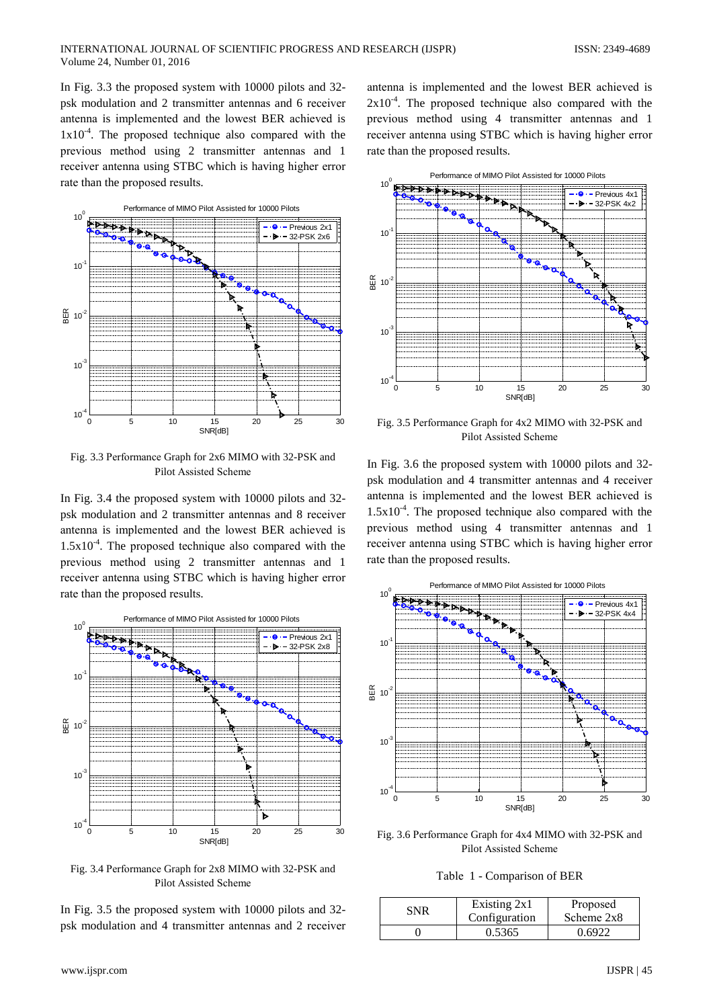In Fig. 3.3 the proposed system with 10000 pilots and 32psk modulation and 2 transmitter antennas and 6 receiver antenna is implemented and the lowest BER achieved is  $1x10^{-4}$ . The proposed technique also compared with the previous method using 2 transmitter antennas and 1 receiver antenna using STBC which is having higher error rate than the proposed results.



Fig. 3.3 Performance Graph for 2x6 MIMO with 32-PSK and Pilot Assisted Scheme

In Fig. 3.4 the proposed system with 10000 pilots and 32psk modulation and 2 transmitter antennas and 8 receiver antenna is implemented and the lowest BER achieved is  $1.5x10^{-4}$ . The proposed technique also compared with the previous method using 2 transmitter antennas and 1 receiver antenna using STBC which is having higher error rate than the proposed results.



Fig. 3.4 Performance Graph for 2x8 MIMO with 32-PSK and Pilot Assisted Scheme

In Fig. 3.5 the proposed system with 10000 pilots and 32psk modulation and 4 transmitter antennas and 2 receiver

antenna is implemented and the lowest BER achieved is  $2x10^{-4}$ . The proposed technique also compared with the previous method using 4 transmitter antennas and 1 receiver antenna using STBC which is having higher error rate than the proposed results.



Fig. 3.5 Performance Graph for 4x2 MIMO with 32-PSK and **Pilot Assisted Scheme** 

In Fig. 3.6 the proposed system with 10000 pilots and 32psk modulation and 4 transmitter antennas and 4 receiver antenna is implemented and the lowest BER achieved is  $1.5x10^{-4}$ . The proposed technique also compared with the previous method using 4 transmitter antennas and 1 receiver antenna using STBC which is having higher error rate than the proposed results.



Fig. 3.6 Performance Graph for 4x4 MIMO with 32-PSK and Pilot Assisted Scheme

Table 1 - Comparison of BER

| SNR | Existing 2x1<br>Configuration | Proposed<br>Scheme 2x8 |
|-----|-------------------------------|------------------------|
|     | 0.5365                        | 0.6922                 |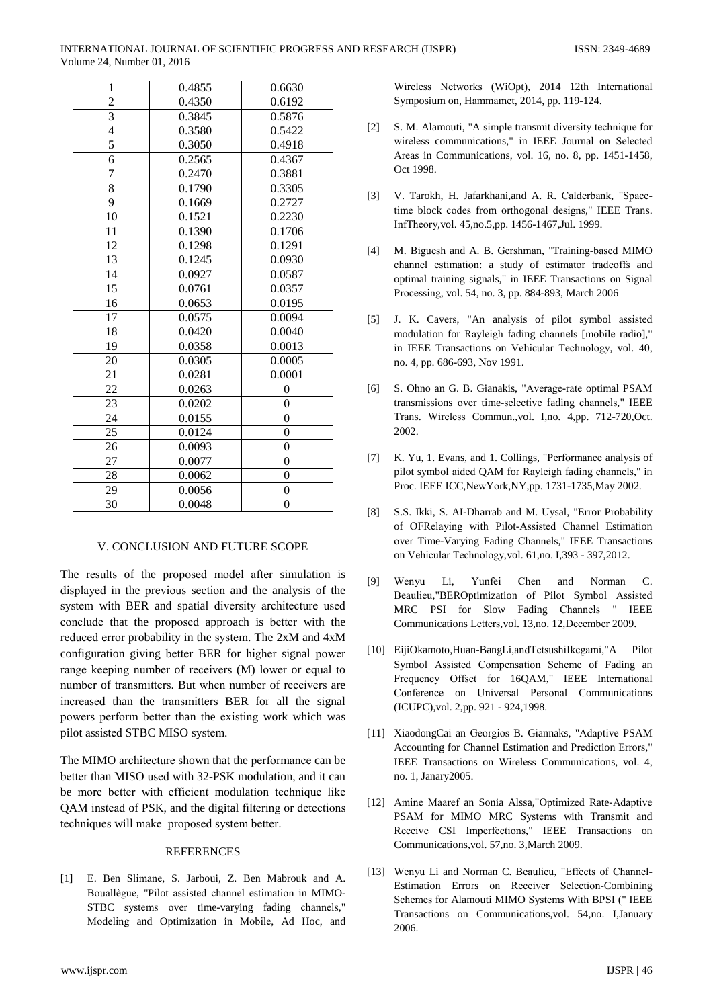#### INTERNATIONAL JOURNAL OF SCIENTIFIC PROGRESS AND RESEARCH (IJSPR) Volume 24, Number 01, 2016

| 1               | 0.4855 | 0.6630           |
|-----------------|--------|------------------|
| $\overline{c}$  | 0.4350 | 0.6192           |
| $\overline{3}$  | 0.3845 | 0.5876           |
| $\overline{4}$  | 0.3580 | 0.5422           |
| 5               | 0.3050 | 0.4918           |
| $\overline{6}$  | 0.2565 | 0.4367           |
| 7               | 0.2470 | 0.3881           |
| $\overline{8}$  | 0.1790 | 0.3305           |
| 9               | 0.1669 | 0.2727           |
| 10              | 0.1521 | 0.2230           |
| 11              | 0.1390 | 0.1706           |
| 12              | 0.1298 | 0.1291           |
| 13              | 0.1245 | 0.0930           |
| 14              | 0.0927 | 0.0587           |
| $\overline{15}$ | 0.0761 | 0.0357           |
| 16              | 0.0653 | 0.0195           |
| 17              | 0.0575 | 0.0094           |
| 18              | 0.0420 | 0.0040           |
| 19              | 0.0358 | 0.0013           |
| 20              | 0.0305 | 0.0005           |
| 21              | 0.0281 | 0.0001           |
| 22              | 0.0263 | $\mathbf{0}$     |
| 23              | 0.0202 | $\boldsymbol{0}$ |
| 24              | 0.0155 | $\boldsymbol{0}$ |
| 25              | 0.0124 | $\boldsymbol{0}$ |
| 26              | 0.0093 | $\overline{0}$   |
| 27              | 0.0077 | $\boldsymbol{0}$ |
| 28              | 0.0062 | $\boldsymbol{0}$ |
| 29              | 0.0056 | $\overline{0}$   |
| 30              | 0.0048 | $\overline{0}$   |

# V. CONCLUSION AND FUTURE SCOPE

The results of the proposed model after simulation is displayed in the previous section and the analysis of the system with BER and spatial diversity architecture used conclude that the proposed approach is better with the reduced error probability in the system. The 2xM and 4xM configuration giving better BER for higher signal power range keeping number of receivers (M) lower or equal to number of transmitters. But when number of receivers are increased than the transmitters BER for all the signal powers perform better than the existing work which was pilot assisted STBC MISO system.

The MIMO architecture shown that the performance can be better than MISO used with 32-PSK modulation, and it can be more better with efficient modulation technique like QAM instead of PSK, and the digital filtering or detections techniques will make proposed system better.

# **REFERENCES**

[1] E. Ben Slimane, S. Jarboui, Z. Ben Mabrouk and A. Bouallègue, "Pilot assisted channel estimation in MIMO-STBC systems over time-varying fading channels," Modeling and Optimization in Mobile, Ad Hoc, and Wireless Networks (WiOpt), 2014 12th International Symposium on, Hammamet, 2014, pp. 119-124.

- S. M. Alamouti, "A simple transmit diversity technique for  $\lceil 2 \rceil$ wireless communications." in IEEE Journal on Selected Areas in Communications, vol. 16, no. 8, pp. 1451-1458, Oct 1998.
- [3] V. Tarokh, H. Jafarkhani, and A. R. Calderbank, "Spacetime block codes from orthogonal designs," IEEE Trans. InfTheory, vol. 45, no. 5, pp. 1456-1467, Jul. 1999.
- M. Biguesh and A. B. Gershman, "Training-based MIMO  $[4]$ channel estimation: a study of estimator tradeoffs and optimal training signals," in IEEE Transactions on Signal Processing, vol. 54, no. 3, pp. 884-893, March 2006
- [5] J. K. Cavers, "An analysis of pilot symbol assisted modulation for Rayleigh fading channels [mobile radio]," in IEEE Transactions on Vehicular Technology, vol. 40, no. 4, pp. 686-693, Nov 1991.
- S. Ohno an G. B. Gianakis, "Average-rate optimal PSAM  $[6]$ transmissions over time-selective fading channels," IEEE Trans. Wireless Commun., vol. I, no. 4, pp. 712-720, Oct. 2002.
- K. Yu, 1. Evans, and 1. Collings, "Performance analysis of  $[7]$ pilot symbol aided QAM for Rayleigh fading channels," in Proc. IEEE ICC, New York, NY, pp. 1731-1735, May 2002.
- S.S. Ikki, S. AI-Dharrab and M. Uysal, "Error Probability  $\lceil 8 \rceil$ of OFRelaying with Pilot-Assisted Channel Estimation over Time-Varying Fading Channels," IEEE Transactions on Vehicular Technology, vol. 61, no. I, 393 - 397, 2012.
- $[9]$ Wenvu Li. Yunfei Chen  $\overline{C}$ . and Norman Beaulieu, "BEROptimization of Pilot Symbol Assisted MRC PSI for Slow Fading Channels " IEEE Communications Letters, vol. 13, no. 12, December 2009.
- [10] EijiOkamoto, Huan-BangLi, and TetsushiIkegami, "A Pilot Symbol Assisted Compensation Scheme of Fading an Frequency Offset for 16QAM," IEEE International Conference on Universal Personal Communications (ICUPC), vol. 2, pp. 921 - 924, 1998.
- [11] XiaodongCai an Georgios B. Giannaks, "Adaptive PSAM Accounting for Channel Estimation and Prediction Errors," IEEE Transactions on Wireless Communications, vol. 4, no. 1, Janary2005.
- [12] Amine Maaref an Sonia Alssa,"Optimized Rate-Adaptive PSAM for MIMO MRC Systems with Transmit and Receive CSI Imperfections," IEEE Transactions on Communications, vol. 57, no. 3, March 2009.
- [13] Wenyu Li and Norman C. Beaulieu, "Effects of Channel-Estimation Errors on Receiver Selection-Combining Schemes for Alamouti MIMO Systems With BPSI (" IEEE Transactions on Communications, vol. 54, no. I. January 2006.